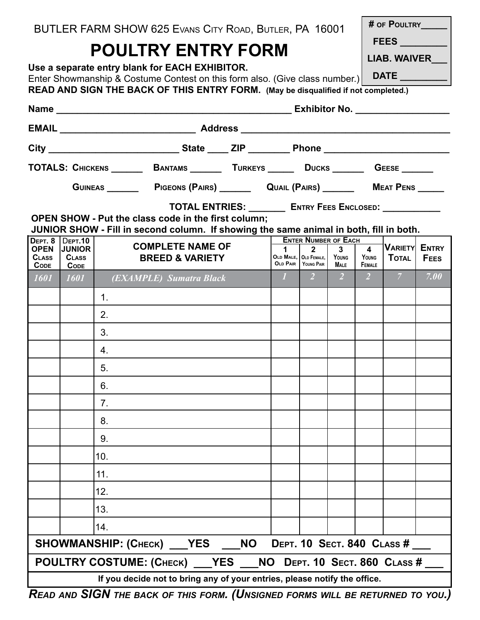|  |  |  |  |  |  |  |  | BUTLER FARM SHOW 625 EVANS CITY ROAD, BUTLER, PA 16001 |  |  |
|--|--|--|--|--|--|--|--|--------------------------------------------------------|--|--|
|--|--|--|--|--|--|--|--|--------------------------------------------------------|--|--|

# **POULTRY ENTRY FORM**

|  | # OF POULTRY |
|--|--------------|
|  |              |

**FEES \_\_\_\_\_\_\_\_\_**

**DATE \_\_\_\_\_\_\_\_\_**

**LIAB. WAIVER\_\_\_**

| Use a separate entry blank for EACH EXHIBITOR.                              |  |
|-----------------------------------------------------------------------------|--|
| Enter Showmanship & Costume Contest on this form also. (Give class number.) |  |

**READ AND SIGN THE BACK OF THIS ENTRY FORM. (May be disqualified if not completed.)**

|                                                                    |                                          |                | TOTALS: CHICKENS ________ BANTAMS ________ TURKEYS ______ DUCKS _______ GEESE _______                                                                |                                                            |  |             |                                                |                |                 |                      |             |  |  |
|--------------------------------------------------------------------|------------------------------------------|----------------|------------------------------------------------------------------------------------------------------------------------------------------------------|------------------------------------------------------------|--|-------------|------------------------------------------------|----------------|-----------------|----------------------|-------------|--|--|
|                                                                    |                                          |                |                                                                                                                                                      |                                                            |  |             |                                                |                |                 |                      |             |  |  |
|                                                                    |                                          |                |                                                                                                                                                      | TOTAL ENTRIES: _________ ENTRY FEES ENCLOSED: ____________ |  |             |                                                |                |                 |                      |             |  |  |
|                                                                    |                                          |                | <b>OPEN SHOW - Put the class code in the first column;</b><br>JUNIOR SHOW - Fill in second column. If showing the same animal in both, fill in both. |                                                            |  |             |                                                |                |                 |                      |             |  |  |
| DEPT. 8<br><b>OPEN</b>                                             | <b>DEPT.10</b><br><b>JUNIOR</b>          |                | <b>COMPLETE NAME OF</b>                                                                                                                              |                                                            |  | $\mathbf 1$ | <b>ENTER NUMBER OF EACH</b><br>$2^{\circ}$     | 3 <sup>1</sup> | $\overline{4}$  | <b>VARIETY ENTRY</b> |             |  |  |
| <b>CLASS</b><br><b>CODE</b>                                        | <b>CLASS</b><br>$\mathsf{Co}\nolimits$ e |                |                                                                                                                                                      | <b>BREED &amp; VARIETY</b>                                 |  |             | OLD MALE, OLD FEMALE,<br>OLD PAIR   YOUNG PAIR | YOUNG<br>Male  | YOUNG<br>FEMALE | <b>TOTAL</b>         | <b>FEES</b> |  |  |
| $\overline{1601}$                                                  | $\mid$ 1601 $\mid$                       |                | (EXAMPLE) Sumatra Black                                                                                                                              |                                                            |  |             | $1 \quad 2 \quad 2$                            |                |                 |                      | 7.00        |  |  |
|                                                                    |                                          | 1.             |                                                                                                                                                      |                                                            |  |             |                                                |                |                 |                      |             |  |  |
|                                                                    |                                          | 2.             |                                                                                                                                                      |                                                            |  |             |                                                |                |                 |                      |             |  |  |
|                                                                    |                                          | 3.             |                                                                                                                                                      |                                                            |  |             |                                                |                |                 |                      |             |  |  |
|                                                                    |                                          | 4.             |                                                                                                                                                      |                                                            |  |             |                                                |                |                 |                      |             |  |  |
|                                                                    |                                          | 5.             |                                                                                                                                                      |                                                            |  |             |                                                |                |                 |                      |             |  |  |
|                                                                    |                                          | 6.             |                                                                                                                                                      |                                                            |  |             |                                                |                |                 |                      |             |  |  |
|                                                                    |                                          | 7 <sub>1</sub> |                                                                                                                                                      |                                                            |  |             |                                                |                |                 |                      |             |  |  |
|                                                                    |                                          | 8.             |                                                                                                                                                      |                                                            |  |             |                                                |                |                 |                      |             |  |  |
|                                                                    |                                          | 9.             |                                                                                                                                                      |                                                            |  |             |                                                |                |                 |                      |             |  |  |
|                                                                    |                                          | 10.            |                                                                                                                                                      |                                                            |  |             |                                                |                |                 |                      |             |  |  |
|                                                                    |                                          | 11.            |                                                                                                                                                      |                                                            |  |             |                                                |                |                 |                      |             |  |  |
|                                                                    |                                          | 12.            |                                                                                                                                                      |                                                            |  |             |                                                |                |                 |                      |             |  |  |
|                                                                    |                                          | 13.            |                                                                                                                                                      |                                                            |  |             |                                                |                |                 |                      |             |  |  |
|                                                                    |                                          | 14.            |                                                                                                                                                      |                                                            |  |             |                                                |                |                 |                      |             |  |  |
|                                                                    |                                          |                | SHOWMANSHIP: (CHECK) ___ YES ___ NO DEPT. 10 SECT. 840 CLASS # ___                                                                                   |                                                            |  |             |                                                |                |                 |                      |             |  |  |
| POULTRY COSTUME: (CHECK) ___ YES ___ NO DEPT. 10 SECT. 860 CLASS # |                                          |                |                                                                                                                                                      |                                                            |  |             |                                                |                |                 |                      |             |  |  |
|                                                                    |                                          |                | If you decide not to bring any of your entries, please notify the office.                                                                            |                                                            |  |             |                                                |                |                 |                      |             |  |  |

*Read and SIGN the back of this form. (Unsigned forms will be returned to you.)*